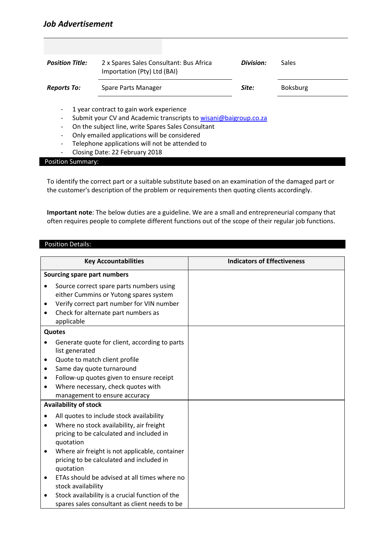| <b>Position Title:</b>                                                                                                                                                                                                                                                                                                                                                                                                     | 2 x Spares Sales Consultant: Bus Africa<br>Importation (Pty) Ltd (BAI) | Division: | Sales           |  |
|----------------------------------------------------------------------------------------------------------------------------------------------------------------------------------------------------------------------------------------------------------------------------------------------------------------------------------------------------------------------------------------------------------------------------|------------------------------------------------------------------------|-----------|-----------------|--|
| <b>Reports To:</b>                                                                                                                                                                                                                                                                                                                                                                                                         | Spare Parts Manager                                                    | Site:     | <b>Boksburg</b> |  |
| 1 year contract to gain work experience<br>$\overline{\phantom{0}}$<br>Submit your CV and Academic transcripts to wisani@baigroup.co.za<br>$\overline{\phantom{0}}$<br>On the subject line, write Spares Sales Consultant<br>$\overline{\phantom{a}}$<br>Only emailed applications will be considered<br>$\overline{\phantom{0}}$<br>Telephone applications will not be attended to<br>-<br>Closing Date: 22 February 2018 |                                                                        |           |                 |  |

## Position Summary:

To identify the correct part or a suitable substitute based on an examination of the damaged part or the customer's description of the problem or requirements then quoting clients accordingly.

**Important note**: The below duties are a guideline. We are a small and entrepreneurial company that often requires people to complete different functions out of the scope of their regular job functions.

## Position Details:

| <b>Key Accountabilities</b>                                                                                                                                                                       | <b>Indicators of Effectiveness</b> |
|---------------------------------------------------------------------------------------------------------------------------------------------------------------------------------------------------|------------------------------------|
| Sourcing spare part numbers                                                                                                                                                                       |                                    |
| Source correct spare parts numbers using<br>either Cummins or Yutong spares system<br>Verify correct part number for VIN number<br>$\bullet$<br>Check for alternate part numbers as<br>applicable |                                    |
| Quotes                                                                                                                                                                                            |                                    |
| Generate quote for client, according to parts<br>list generated                                                                                                                                   |                                    |
| Quote to match client profile<br>$\bullet$                                                                                                                                                        |                                    |
| Same day quote turnaround                                                                                                                                                                         |                                    |
| Follow-up quotes given to ensure receipt<br>$\bullet$                                                                                                                                             |                                    |
| Where necessary, check quotes with                                                                                                                                                                |                                    |
| management to ensure accuracy<br><b>Availability of stock</b>                                                                                                                                     |                                    |
|                                                                                                                                                                                                   |                                    |
| All quotes to include stock availability<br>Where no stock availability, air freight                                                                                                              |                                    |
| pricing to be calculated and included in                                                                                                                                                          |                                    |
| quotation                                                                                                                                                                                         |                                    |
| Where air freight is not applicable, container                                                                                                                                                    |                                    |
| pricing to be calculated and included in                                                                                                                                                          |                                    |
| quotation                                                                                                                                                                                         |                                    |
| ETAs should be advised at all times where no<br>٠                                                                                                                                                 |                                    |
| stock availability                                                                                                                                                                                |                                    |
| Stock availability is a crucial function of the                                                                                                                                                   |                                    |
| spares sales consultant as client needs to be                                                                                                                                                     |                                    |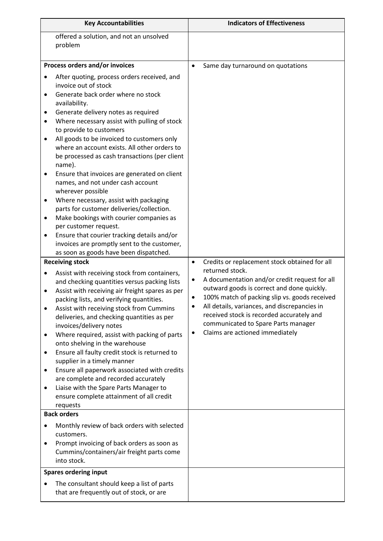| <b>Key Accountabilities</b>                                                                                                                                                                                                                                                                                                                                                                                                                                                                                                                                                                                                                                                                                                                                                                                                                                                                                                                                                                                                                                                                                                                                                                                                                                                                                                                                                                                                                                                                                       | <b>Indicators of Effectiveness</b>                                                                                                                                                                                                                                                                                                                                                                                                                               |
|-------------------------------------------------------------------------------------------------------------------------------------------------------------------------------------------------------------------------------------------------------------------------------------------------------------------------------------------------------------------------------------------------------------------------------------------------------------------------------------------------------------------------------------------------------------------------------------------------------------------------------------------------------------------------------------------------------------------------------------------------------------------------------------------------------------------------------------------------------------------------------------------------------------------------------------------------------------------------------------------------------------------------------------------------------------------------------------------------------------------------------------------------------------------------------------------------------------------------------------------------------------------------------------------------------------------------------------------------------------------------------------------------------------------------------------------------------------------------------------------------------------------|------------------------------------------------------------------------------------------------------------------------------------------------------------------------------------------------------------------------------------------------------------------------------------------------------------------------------------------------------------------------------------------------------------------------------------------------------------------|
|                                                                                                                                                                                                                                                                                                                                                                                                                                                                                                                                                                                                                                                                                                                                                                                                                                                                                                                                                                                                                                                                                                                                                                                                                                                                                                                                                                                                                                                                                                                   |                                                                                                                                                                                                                                                                                                                                                                                                                                                                  |
| problem                                                                                                                                                                                                                                                                                                                                                                                                                                                                                                                                                                                                                                                                                                                                                                                                                                                                                                                                                                                                                                                                                                                                                                                                                                                                                                                                                                                                                                                                                                           |                                                                                                                                                                                                                                                                                                                                                                                                                                                                  |
|                                                                                                                                                                                                                                                                                                                                                                                                                                                                                                                                                                                                                                                                                                                                                                                                                                                                                                                                                                                                                                                                                                                                                                                                                                                                                                                                                                                                                                                                                                                   |                                                                                                                                                                                                                                                                                                                                                                                                                                                                  |
| Process orders and/or invoices                                                                                                                                                                                                                                                                                                                                                                                                                                                                                                                                                                                                                                                                                                                                                                                                                                                                                                                                                                                                                                                                                                                                                                                                                                                                                                                                                                                                                                                                                    | $\bullet$                                                                                                                                                                                                                                                                                                                                                                                                                                                        |
| offered a solution, and not an unsolved<br>After quoting, process orders received, and<br>$\bullet$<br>invoice out of stock<br>Generate back order where no stock<br>$\bullet$<br>availability.<br>Generate delivery notes as required<br>$\bullet$<br>Where necessary assist with pulling of stock<br>$\bullet$<br>to provide to customers<br>All goods to be invoiced to customers only<br>$\bullet$<br>where an account exists. All other orders to<br>be processed as cash transactions (per client<br>name).<br>Ensure that invoices are generated on client<br>$\bullet$<br>names, and not under cash account<br>wherever possible<br>Where necessary, assist with packaging<br>٠<br>parts for customer deliveries/collection.<br>Make bookings with courier companies as<br>$\bullet$<br>per customer request.<br>Ensure that courier tracking details and/or<br>$\bullet$<br>invoices are promptly sent to the customer,<br>as soon as goods have been dispatched.<br><b>Receiving stock</b><br>Assist with receiving stock from containers,<br>and checking quantities versus packing lists<br>Assist with receiving air freight spares as per<br>$\bullet$<br>packing lists, and verifying quantities.<br>Assist with receiving stock from Cummins<br>deliveries, and checking quantities as per<br>invoices/delivery notes<br>Where required, assist with packing of parts<br>٠<br>onto shelving in the warehouse<br>Ensure all faulty credit stock is returned to<br>٠<br>supplier in a timely manner | Same day turnaround on quotations<br>Credits or replacement stock obtained for all<br>$\bullet$<br>returned stock.<br>A documentation and/or credit request for all<br>٠<br>outward goods is correct and done quickly.<br>100% match of packing slip vs. goods received<br>$\bullet$<br>All details, variances, and discrepancies in<br>received stock is recorded accurately and<br>communicated to Spare Parts manager<br>Claims are actioned immediately<br>٠ |
| Ensure all paperwork associated with credits<br>$\bullet$                                                                                                                                                                                                                                                                                                                                                                                                                                                                                                                                                                                                                                                                                                                                                                                                                                                                                                                                                                                                                                                                                                                                                                                                                                                                                                                                                                                                                                                         |                                                                                                                                                                                                                                                                                                                                                                                                                                                                  |
| are complete and recorded accurately<br>Liaise with the Spare Parts Manager to<br>$\bullet$                                                                                                                                                                                                                                                                                                                                                                                                                                                                                                                                                                                                                                                                                                                                                                                                                                                                                                                                                                                                                                                                                                                                                                                                                                                                                                                                                                                                                       |                                                                                                                                                                                                                                                                                                                                                                                                                                                                  |
| ensure complete attainment of all credit                                                                                                                                                                                                                                                                                                                                                                                                                                                                                                                                                                                                                                                                                                                                                                                                                                                                                                                                                                                                                                                                                                                                                                                                                                                                                                                                                                                                                                                                          |                                                                                                                                                                                                                                                                                                                                                                                                                                                                  |
| requests                                                                                                                                                                                                                                                                                                                                                                                                                                                                                                                                                                                                                                                                                                                                                                                                                                                                                                                                                                                                                                                                                                                                                                                                                                                                                                                                                                                                                                                                                                          |                                                                                                                                                                                                                                                                                                                                                                                                                                                                  |
| <b>Back orders</b>                                                                                                                                                                                                                                                                                                                                                                                                                                                                                                                                                                                                                                                                                                                                                                                                                                                                                                                                                                                                                                                                                                                                                                                                                                                                                                                                                                                                                                                                                                |                                                                                                                                                                                                                                                                                                                                                                                                                                                                  |
| Monthly review of back orders with selected<br>$\bullet$<br>customers.                                                                                                                                                                                                                                                                                                                                                                                                                                                                                                                                                                                                                                                                                                                                                                                                                                                                                                                                                                                                                                                                                                                                                                                                                                                                                                                                                                                                                                            |                                                                                                                                                                                                                                                                                                                                                                                                                                                                  |
| Prompt invoicing of back orders as soon as<br>$\bullet$<br>Cummins/containers/air freight parts come<br>into stock.                                                                                                                                                                                                                                                                                                                                                                                                                                                                                                                                                                                                                                                                                                                                                                                                                                                                                                                                                                                                                                                                                                                                                                                                                                                                                                                                                                                               |                                                                                                                                                                                                                                                                                                                                                                                                                                                                  |
| <b>Spares ordering input</b>                                                                                                                                                                                                                                                                                                                                                                                                                                                                                                                                                                                                                                                                                                                                                                                                                                                                                                                                                                                                                                                                                                                                                                                                                                                                                                                                                                                                                                                                                      |                                                                                                                                                                                                                                                                                                                                                                                                                                                                  |
| The consultant should keep a list of parts<br>that are frequently out of stock, or are                                                                                                                                                                                                                                                                                                                                                                                                                                                                                                                                                                                                                                                                                                                                                                                                                                                                                                                                                                                                                                                                                                                                                                                                                                                                                                                                                                                                                            |                                                                                                                                                                                                                                                                                                                                                                                                                                                                  |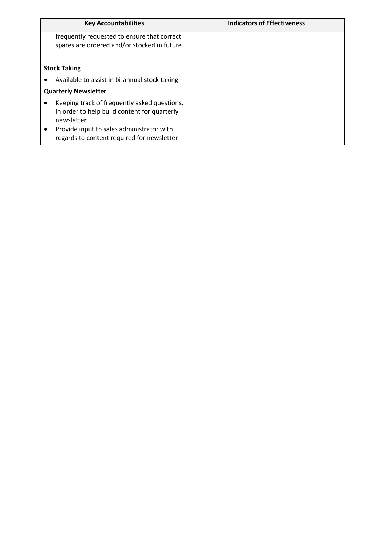| <b>Key Accountabilities</b>                                                                                                                                                                                        | <b>Indicators of Effectiveness</b> |
|--------------------------------------------------------------------------------------------------------------------------------------------------------------------------------------------------------------------|------------------------------------|
| frequently requested to ensure that correct<br>spares are ordered and/or stocked in future.                                                                                                                        |                                    |
| <b>Stock Taking</b>                                                                                                                                                                                                |                                    |
| Available to assist in bi-annual stock taking                                                                                                                                                                      |                                    |
| <b>Quarterly Newsletter</b>                                                                                                                                                                                        |                                    |
| Keeping track of frequently asked questions,<br>in order to help build content for quarterly<br>newsletter<br>Provide input to sales administrator with<br>$\bullet$<br>regards to content required for newsletter |                                    |